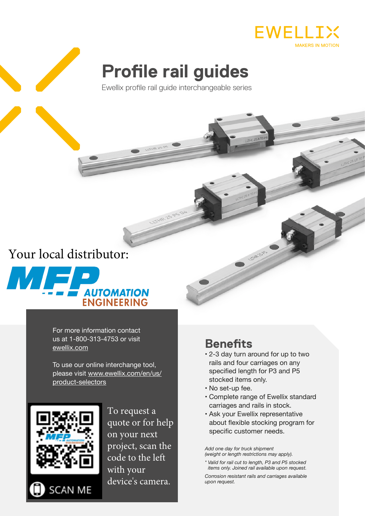

# **Profile rail guides**

Ewellix profile rail guide interchangeable series

**18-25** 

## [Your local distributor:](www.mifp.com)



For more information contact us at 1-800-313-4753 or visit ewellix.com

To use our online interchange tool, please visit www.ewellix.com/en/us/ product-selectors



To request a quote or for help on your next project, scan the code to the left with your device's camera.

### **Benefits**

- 2-3 day turn around for up to two rails and four carriages on any specified length for P3 and P5 stocked items only.
- No set-up fee.
- Complete range of Ewellix standard carriages and rails in stock.
- Ask your Ewellix representative about flexible stocking program for specific customer needs.

*Add one day for truck shipment (weight or length restrictions may apply).*

*\* Valid for rail cut to length, P3 and P5 stocked items only. Joined rail available upon request. Corrosion resistant rails and carriages available upon request.*